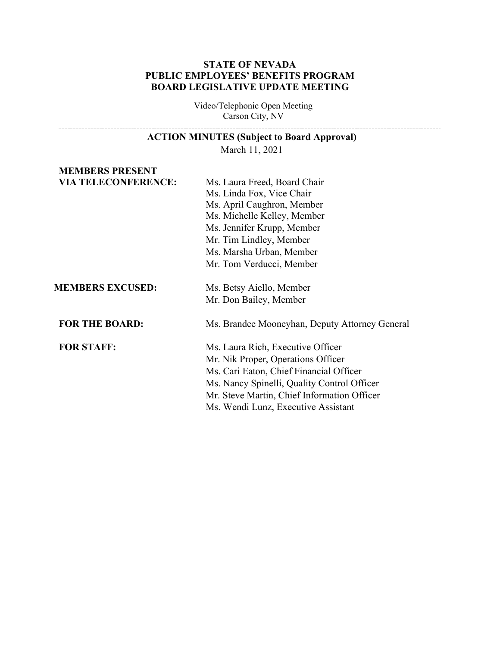## **STATE OF NEVADA PUBLIC EMPLOYEES' BENEFITS PROGRAM BOARD LEGISLATIVE UPDATE MEETING**

Video/Telephonic Open Meeting Carson City, NV 

|  | <b>ACTION MINUTES (Subject to Board Approval)</b> |
|--|---------------------------------------------------|
|  |                                                   |

March 11, 2021

## **MEMBERS PRESENT VIA TELECONFERENCE:** Ms. Laura Freed, Board Chair

|                         | Ms. Linda Fox, Vice Chair<br>Ms. April Caughron, Member<br>Ms. Michelle Kelley, Member<br>Ms. Jennifer Krupp, Member<br>Mr. Tim Lindley, Member<br>Ms. Marsha Urban, Member<br>Mr. Tom Verducci, Member                                                 |
|-------------------------|---------------------------------------------------------------------------------------------------------------------------------------------------------------------------------------------------------------------------------------------------------|
| <b>MEMBERS EXCUSED:</b> | Ms. Betsy Aiello, Member<br>Mr. Don Bailey, Member                                                                                                                                                                                                      |
| <b>FOR THE BOARD:</b>   | Ms. Brandee Mooneyhan, Deputy Attorney General                                                                                                                                                                                                          |
| <b>FOR STAFF:</b>       | Ms. Laura Rich, Executive Officer<br>Mr. Nik Proper, Operations Officer<br>Ms. Cari Eaton, Chief Financial Officer<br>Ms. Nancy Spinelli, Quality Control Officer<br>Mr. Steve Martin, Chief Information Officer<br>Ms. Wendi Lunz, Executive Assistant |